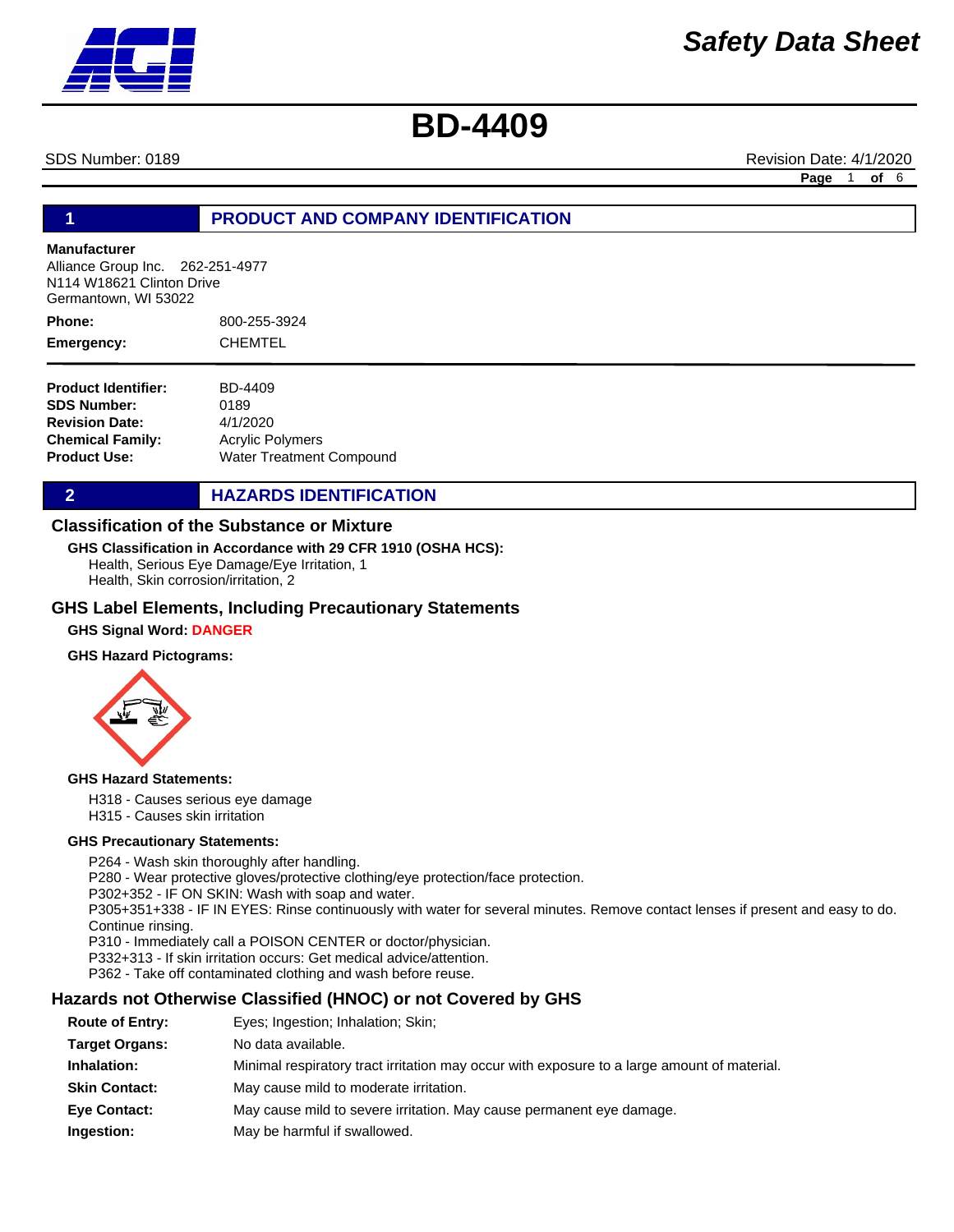SDS Number: 0189 **Revision Date: 4/1/2020** Revision Date: 4/1/2020

**Page** 1 **of** 6

# **1 PRODUCT AND COMPANY IDENTIFICATION**

## **Manufacturer**

Alliance Group Inc. 262-251-4977 N114 W18621 Clinton Drive Germantown, WI 53022

800-255-3924 CHEMTEL **Phone: Emergency:**

| <b>Product Identifier:</b> | BD-4409                         |
|----------------------------|---------------------------------|
| <b>SDS Number:</b>         | 0189                            |
| <b>Revision Date:</b>      | 4/1/2020                        |
| <b>Chemical Family:</b>    | <b>Acrylic Polymers</b>         |
| Product Use:               | <b>Water Treatment Compound</b> |

**2 HAZARDS IDENTIFICATION** 

### **Classification of the Substance or Mixture**

**GHS Classification in Accordance with 29 CFR 1910 (OSHA HCS):**

Health, Serious Eye Damage/Eye Irritation, 1 Health, Skin corrosion/irritation, 2

### **GHS Label Elements, Including Precautionary Statements**

**GHS Signal Word: DANGER** 

### **GHS Hazard Pictograms:**



### **GHS Hazard Statements:**

H318 - Causes serious eye damage H315 - Causes skin irritation

### **GHS Precautionary Statements:**

P264 - Wash skin thoroughly after handling. P280 - Wear protective gloves/protective clothing/eye protection/face protection. P302+352 - IF ON SKIN: Wash with soap and water. P305+351+338 - IF IN EYES: Rinse continuously with water for several minutes. Remove contact lenses if present and easy to do. Continue rinsing. P310 - Immediately call a POISON CENTER or doctor/physician. P332+313 - If skin irritation occurs: Get medical advice/attention. P362 - Take off contaminated clothing and wash before reuse.

### **Hazards not Otherwise Classified (HNOC) or not Covered by GHS**

| <b>Route of Entry:</b> | Eyes; Ingestion; Inhalation; Skin;                                                          |
|------------------------|---------------------------------------------------------------------------------------------|
| <b>Target Organs:</b>  | No data available.                                                                          |
| Inhalation:            | Minimal respiratory tract irritation may occur with exposure to a large amount of material. |
| <b>Skin Contact:</b>   | May cause mild to moderate irritation.                                                      |
| <b>Eye Contact:</b>    | May cause mild to severe irritation. May cause permanent eye damage.                        |
| Ingestion:             | May be harmful if swallowed.                                                                |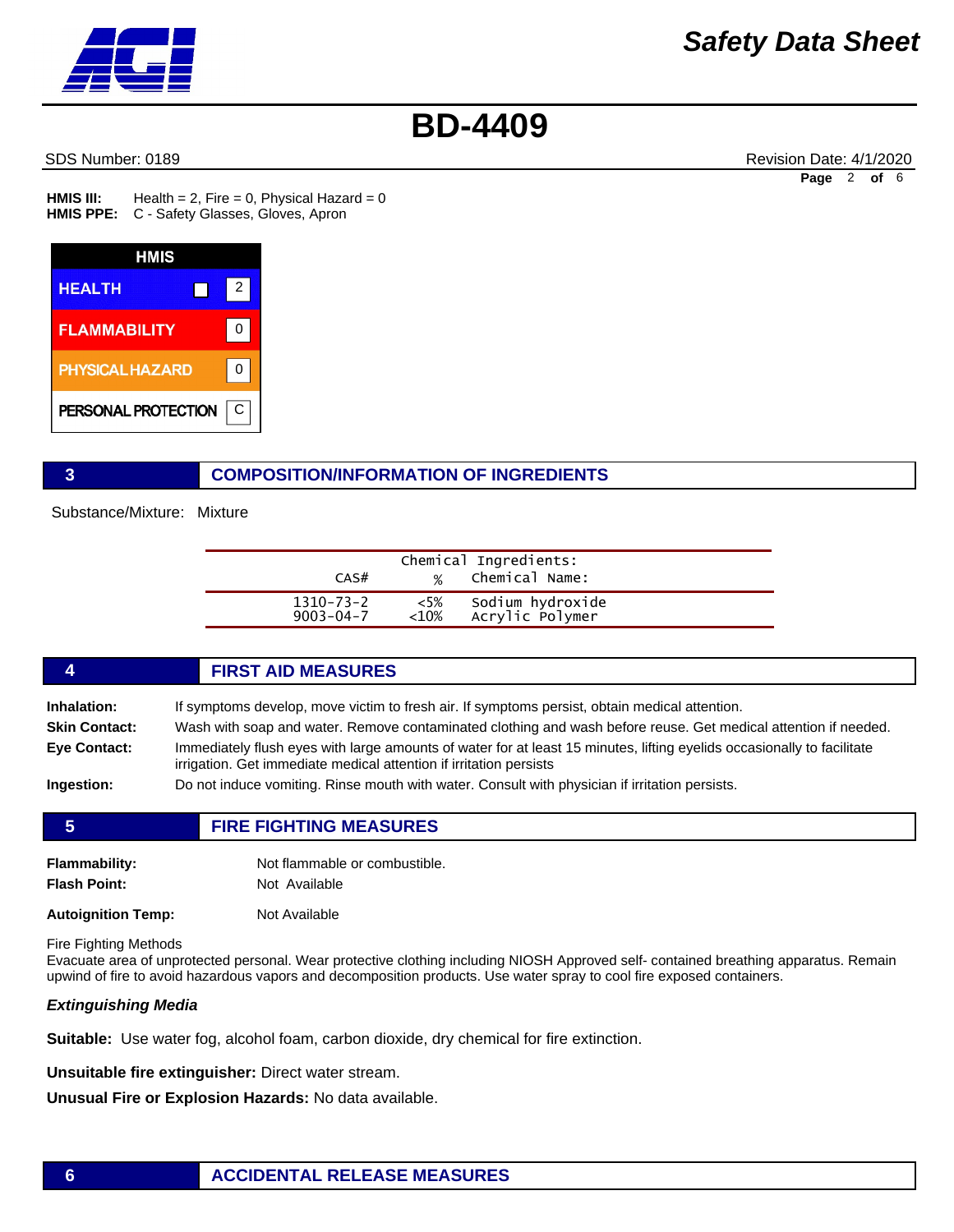

SDS Number: 0189 **Revision Date: 4/1/2020** Revision Date: 4/1/2020 **Page** 2 **of** 6

Health =  $2$ , Fire = 0, Physical Hazard = 0 HMIS PPE: C - Safety Glasses, Gloves, Apron **HMIS III:** 



# **3 COMPOSITION/INFORMATION OF INGREDIENTS**

Substance/Mixture: Mixture

| CAS#            | $\frac{1}{2}$ | Chemical Ingredients:<br>Chemical Name: |  |
|-----------------|---------------|-----------------------------------------|--|
| $1310 - 73 - 2$ | $<5\%$        | Sodium hydroxide                        |  |
| $9003 - 04 - 7$ | < 10%         | Acrylic Polymer                         |  |

## **4 FIRST AID MEASURES**

**Inhalation:** If symptoms develop, move victim to fresh air. If symptoms persist, obtain medical attention.

**Skin Contact:** Wash with soap and water. Remove contaminated clothing and wash before reuse. Get medical attention if needed.

**Eye Contact:** Immediately flush eyes with large amounts of water for at least 15 minutes, lifting eyelids occasionally to facilitate irrigation. Get immediate medical attention if irritation persists

**Ingestion:** Do not induce vomiting. Rinse mouth with water. Consult with physician if irritation persists.

| <b>Flammability:</b>      | Not flammable or combustible. |
|---------------------------|-------------------------------|
| <b>Flash Point:</b>       | Not Available                 |
| <b>Autoignition Temp:</b> | Not Available                 |

**5 FIRE FIGHTING MEASURES**

Fire Fighting Methods

Evacuate area of unprotected personal. Wear protective clothing including NIOSH Approved self- contained breathing apparatus. Remain upwind of fire to avoid hazardous vapors and decomposition products. Use water spray to cool fire exposed containers.

## *Extinguishing Media*

**Suitable:** Use water fog, alcohol foam, carbon dioxide, dry chemical for fire extinction.

**Unsuitable fire extinguisher:** Direct water stream.

**Unusual Fire or Explosion Hazards:** No data available.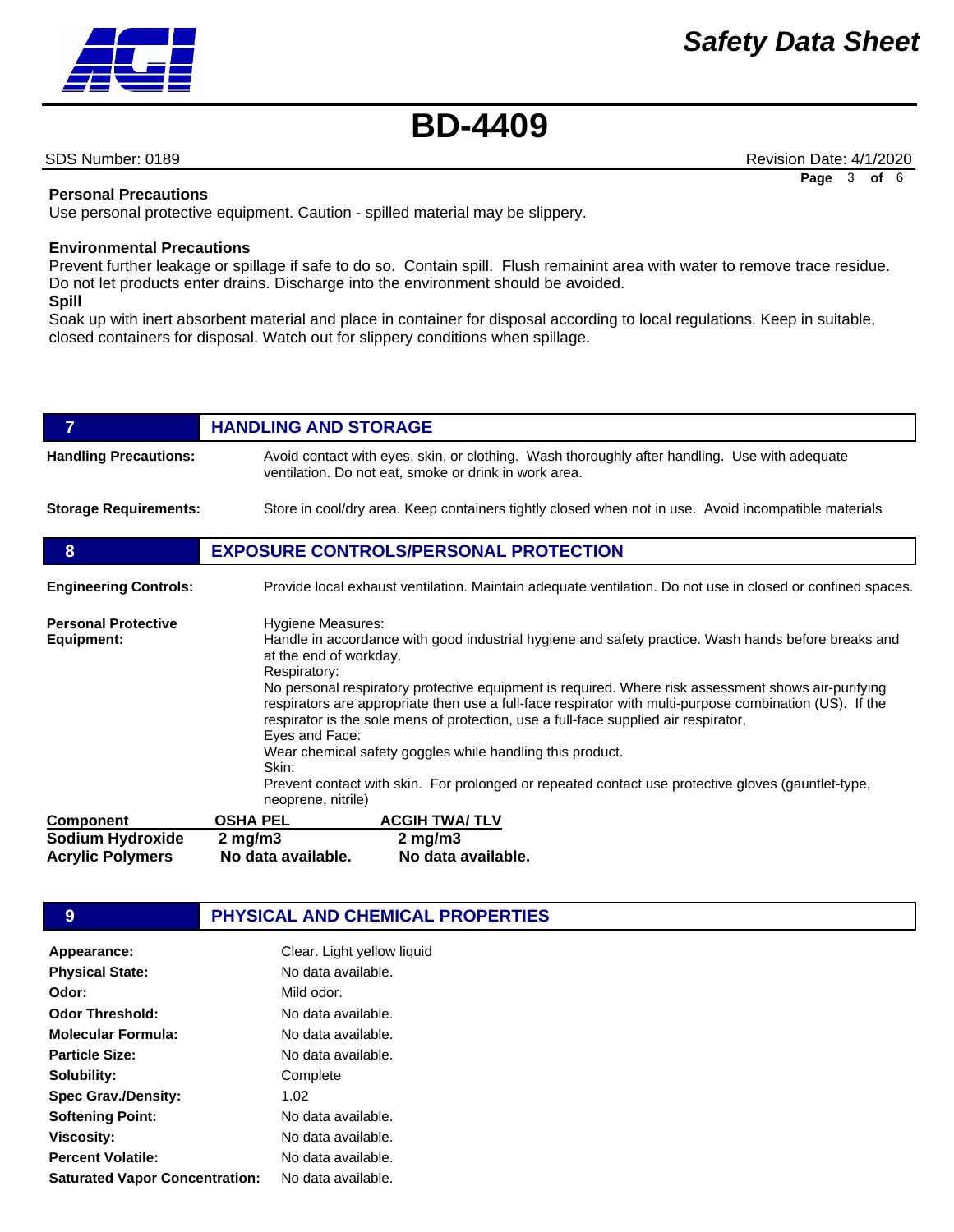

SDS Number: 0189 **Revision Date: 4/1/2020** Revision Date: 4/1/2020

**Page** 3 **of** 6

### **Personal Precautions**

Use personal protective equipment. Caution - spilled material may be slippery.

### **Environmental Precautions**

Prevent further leakage or spillage if safe to do so. Contain spill. Flush remainint area with water to remove trace residue. Do not let products enter drains. Discharge into the environment should be avoided. **Spill** 

Soak up with inert absorbent material and place in container for disposal according to local regulations. Keep in suitable, closed containers for disposal. Watch out for slippery conditions when spillage.

| $\overline{7}$                              | <b>HANDLING AND STORAGE</b>                                                                                                                                                                                                                                                                                                                                                                                                                                                                                                                                                                                                                                               |  |
|---------------------------------------------|---------------------------------------------------------------------------------------------------------------------------------------------------------------------------------------------------------------------------------------------------------------------------------------------------------------------------------------------------------------------------------------------------------------------------------------------------------------------------------------------------------------------------------------------------------------------------------------------------------------------------------------------------------------------------|--|
| <b>Handling Precautions:</b>                | Avoid contact with eyes, skin, or clothing. Wash thoroughly after handling. Use with adequate<br>ventilation. Do not eat, smoke or drink in work area.                                                                                                                                                                                                                                                                                                                                                                                                                                                                                                                    |  |
| <b>Storage Requirements:</b>                | Store in cool/dry area. Keep containers tightly closed when not in use. Avoid incompatible materials                                                                                                                                                                                                                                                                                                                                                                                                                                                                                                                                                                      |  |
| 8                                           | <b>EXPOSURE CONTROLS/PERSONAL PROTECTION</b>                                                                                                                                                                                                                                                                                                                                                                                                                                                                                                                                                                                                                              |  |
| <b>Engineering Controls:</b>                | Provide local exhaust ventilation. Maintain adequate ventilation. Do not use in closed or confined spaces.                                                                                                                                                                                                                                                                                                                                                                                                                                                                                                                                                                |  |
| <b>Personal Protective</b><br>Equipment:    | Hygiene Measures:<br>Handle in accordance with good industrial hygiene and safety practice. Wash hands before breaks and<br>at the end of workday.<br>Respiratory:<br>No personal respiratory protective equipment is required. Where risk assessment shows air-purifying<br>respirators are appropriate then use a full-face respirator with multi-purpose combination (US). If the<br>respirator is the sole mens of protection, use a full-face supplied air respirator,<br>Eyes and Face:<br>Wear chemical safety goggles while handling this product.<br>Skin:<br>Prevent contact with skin. For prolonged or repeated contact use protective gloves (gauntlet-type, |  |
| <b>Component</b>                            | neoprene, nitrile)<br><b>ACGIH TWA/TLV</b><br><b>OSHA PEL</b>                                                                                                                                                                                                                                                                                                                                                                                                                                                                                                                                                                                                             |  |
| Sodium Hydroxide<br><b>Acrylic Polymers</b> | $2$ mg/m $3$<br>$2$ mg/m $3$<br>No data available.<br>No data available.                                                                                                                                                                                                                                                                                                                                                                                                                                                                                                                                                                                                  |  |

# **9 PHYSICAL AND CHEMICAL PROPERTIES**

| Appearance:                           | Clear. Light yellow liquid |
|---------------------------------------|----------------------------|
| <b>Physical State:</b>                | No data available.         |
| Odor:                                 | Mild odor.                 |
| <b>Odor Threshold:</b>                | No data available.         |
| <b>Molecular Formula:</b>             | No data available.         |
| <b>Particle Size:</b>                 | No data available.         |
| Solubility:                           | Complete                   |
| <b>Spec Grav./Density:</b>            | 1.02                       |
| <b>Softening Point:</b>               | No data available.         |
| <b>Viscosity:</b>                     | No data available.         |
| <b>Percent Volatile:</b>              | No data available.         |
| <b>Saturated Vapor Concentration:</b> | No data available.         |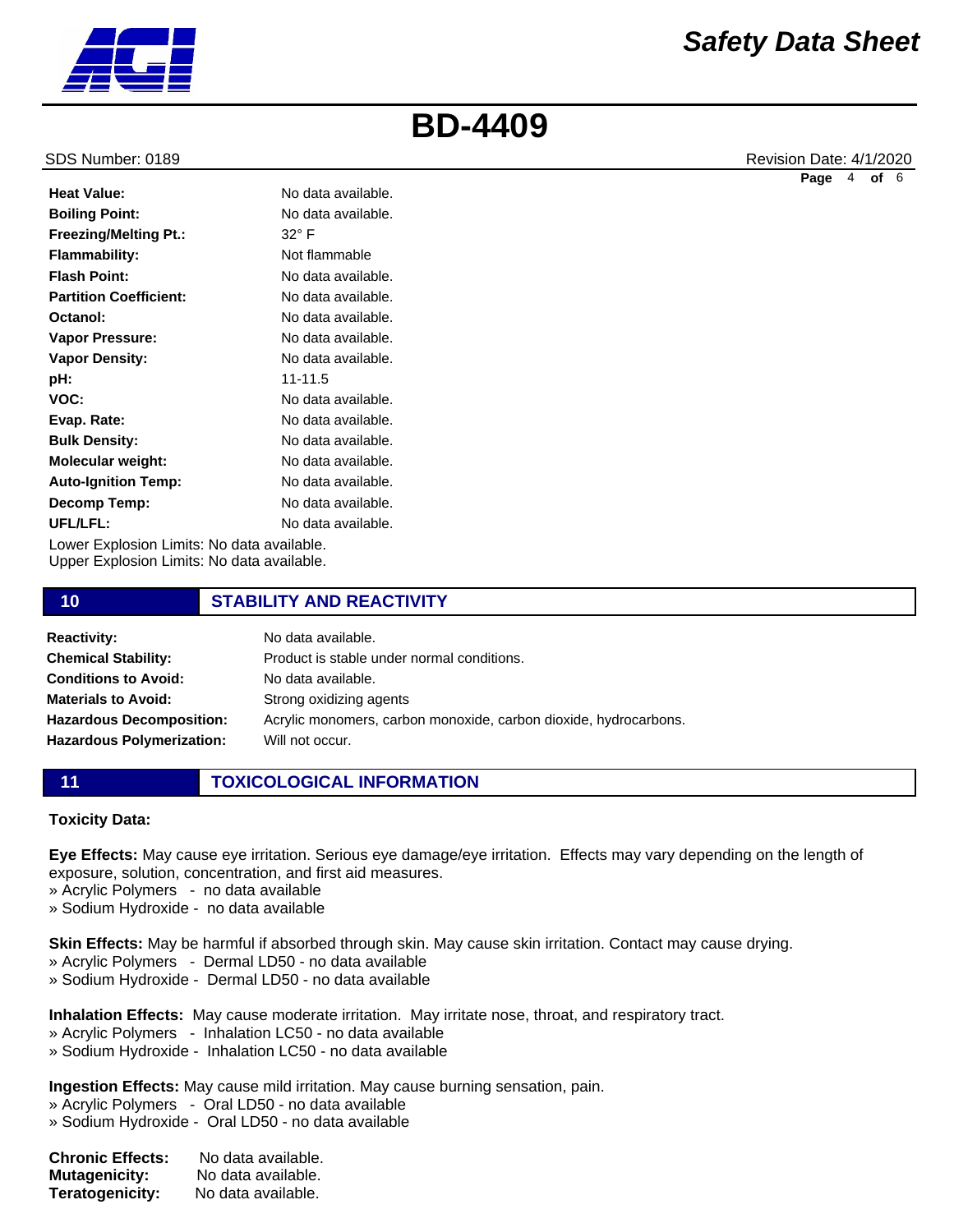

**Heat Value:**

**Flash Point:**

**Octanol:**

**pH: VOC: Evap. Rate: Bulk Density: Molecular weight: Auto-Ignition Temp: Decomp Temp: UFL/LFL:**

**Boiling Point: Freezing/Melting Pt.: Flammability: Partition Coefficient: Vapor Pressure: Vapor Density:** No data available. No data available. 32° F Not flammable No data available. No data available. No data available. No data available. No data available. 11-11.5 No data available. No data available. No data available.

Lower Explosion Limits: No data available. Upper Explosion Limits: No data available.

# **10 STABILITY AND REACTIVITY**

No data available. No data available. No data available. No data available.

| <b>Reactivity:</b>               | No data available.                                               |
|----------------------------------|------------------------------------------------------------------|
| <b>Chemical Stability:</b>       | Product is stable under normal conditions.                       |
| <b>Conditions to Avoid:</b>      | No data available.                                               |
| <b>Materials to Avoid:</b>       | Strong oxidizing agents                                          |
| <b>Hazardous Decomposition:</b>  | Acrylic monomers, carbon monoxide, carbon dioxide, hydrocarbons. |
| <b>Hazardous Polymerization:</b> | Will not occur.                                                  |
|                                  |                                                                  |

# **11 TOXICOLOGICAL INFORMATION**

### **Toxicity Data:**

**Eye Effects:** May cause eye irritation. Serious eye damage/eye irritation. Effects may vary depending on the length of exposure, solution, concentration, and first aid measures.

- » Acrylic Polymers no data available
- » Sodium Hydroxide no data available

**Skin Effects:** May be harmful if absorbed through skin. May cause skin irritation. Contact may cause drying.

- » Acrylic Polymers Dermal LD50 no data available
- » Sodium Hydroxide Dermal LD50 no data available

**Inhalation Effects:** May cause moderate irritation. May irritate nose, throat, and respiratory tract.

- » Acrylic Polymers Inhalation LC50 no data available
- » Sodium Hydroxide Inhalation LC50 no data available

**Ingestion Effects:** May cause mild irritation. May cause burning sensation, pain.

- » Acrylic Polymers Oral LD50 no data available
- » Sodium Hydroxide Oral LD50 no data available

| <b>Chronic Effects:</b> | No data available. |
|-------------------------|--------------------|
| <b>Mutagenicity:</b>    | No data available. |
| Teratogenicity:         | No data available. |

SDS Number: 0189 **Revision Date: 4/1/2020** Revision Date: 4/1/2020

**Page** 4 **of** 6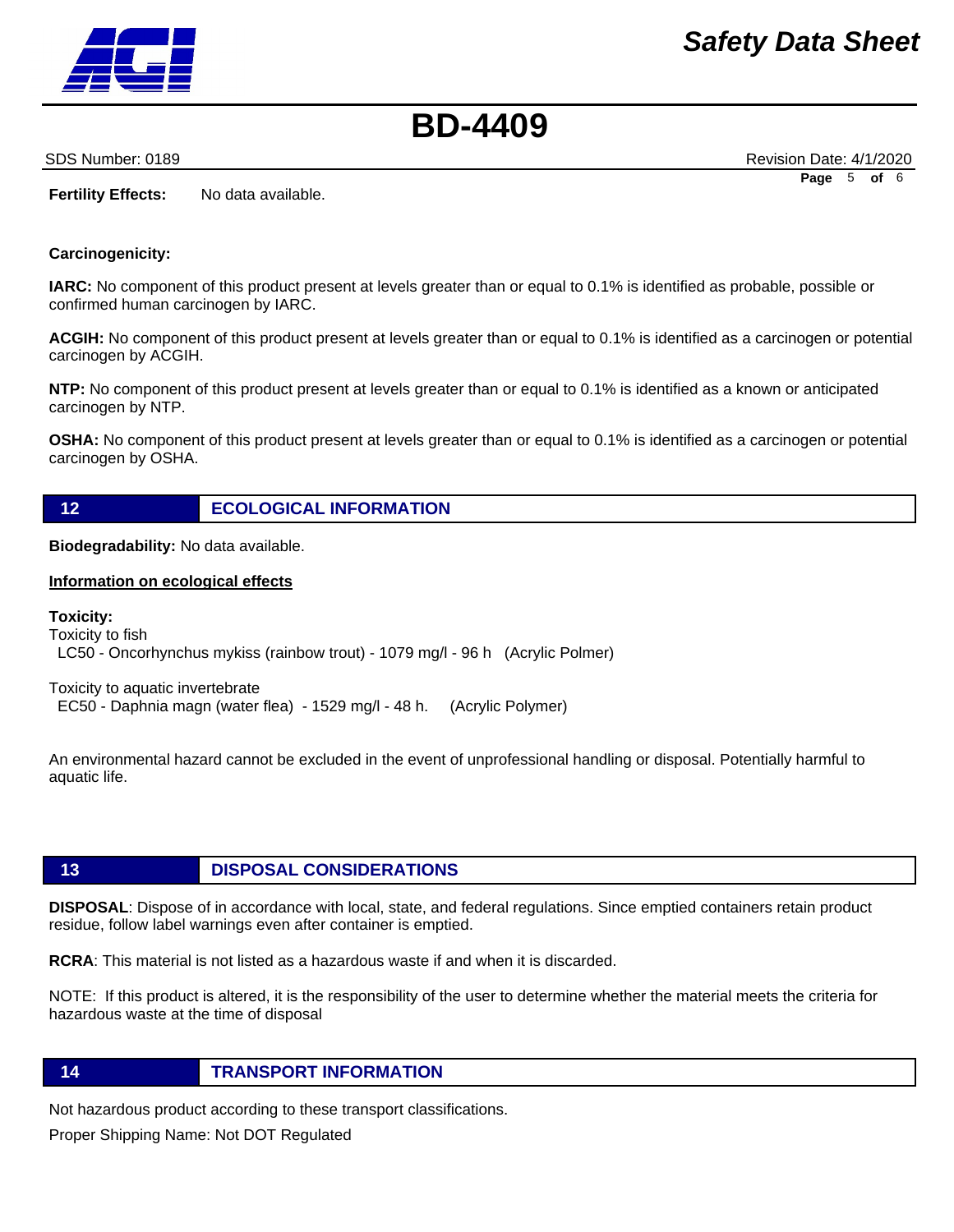

SDS Number: 0189 **Revision Date: 4/1/2020** Revision Date: 4/1/2020 **Page** 5 **of** 6

**Fertility Effects:** No data available.

## **Carcinogenicity:**

**IARC:** No component of this product present at levels greater than or equal to 0.1% is identified as probable, possible or confirmed human carcinogen by IARC.

**ACGIH:** No component of this product present at levels greater than or equal to 0.1% is identified as a carcinogen or potential carcinogen by ACGIH.

**NTP:** No component of this product present at levels greater than or equal to 0.1% is identified as a known or anticipated carcinogen by NTP.

**OSHA:** No component of this product present at levels greater than or equal to 0.1% is identified as a carcinogen or potential carcinogen by OSHA.

**12 ECOLOGICAL INFORMATION** 

**Biodegradability:** No data available.

### **Information on ecological effects**

**Toxicity:**  Toxicity to fish LC50 - Oncorhynchus mykiss (rainbow trout) - 1079 mg/l - 96 h (Acrylic Polmer)

Toxicity to aquatic invertebrate EC50 - Daphnia magn (water flea) - 1529 mg/l - 48 h. (Acrylic Polymer)

An environmental hazard cannot be excluded in the event of unprofessional handling or disposal. Potentially harmful to aquatic life.

# **13 DISPOSAL CONSIDERATIONS**

**DISPOSAL**: Dispose of in accordance with local, state, and federal regulations. Since emptied containers retain product residue, follow label warnings even after container is emptied.

**RCRA**: This material is not listed as a hazardous waste if and when it is discarded.

NOTE: If this product is altered, it is the responsibility of the user to determine whether the material meets the criteria for hazardous waste at the time of disposal

## **14 TRANSPORT INFORMATION**

Not hazardous product according to these transport classifications.

Proper Shipping Name: Not DOT Regulated